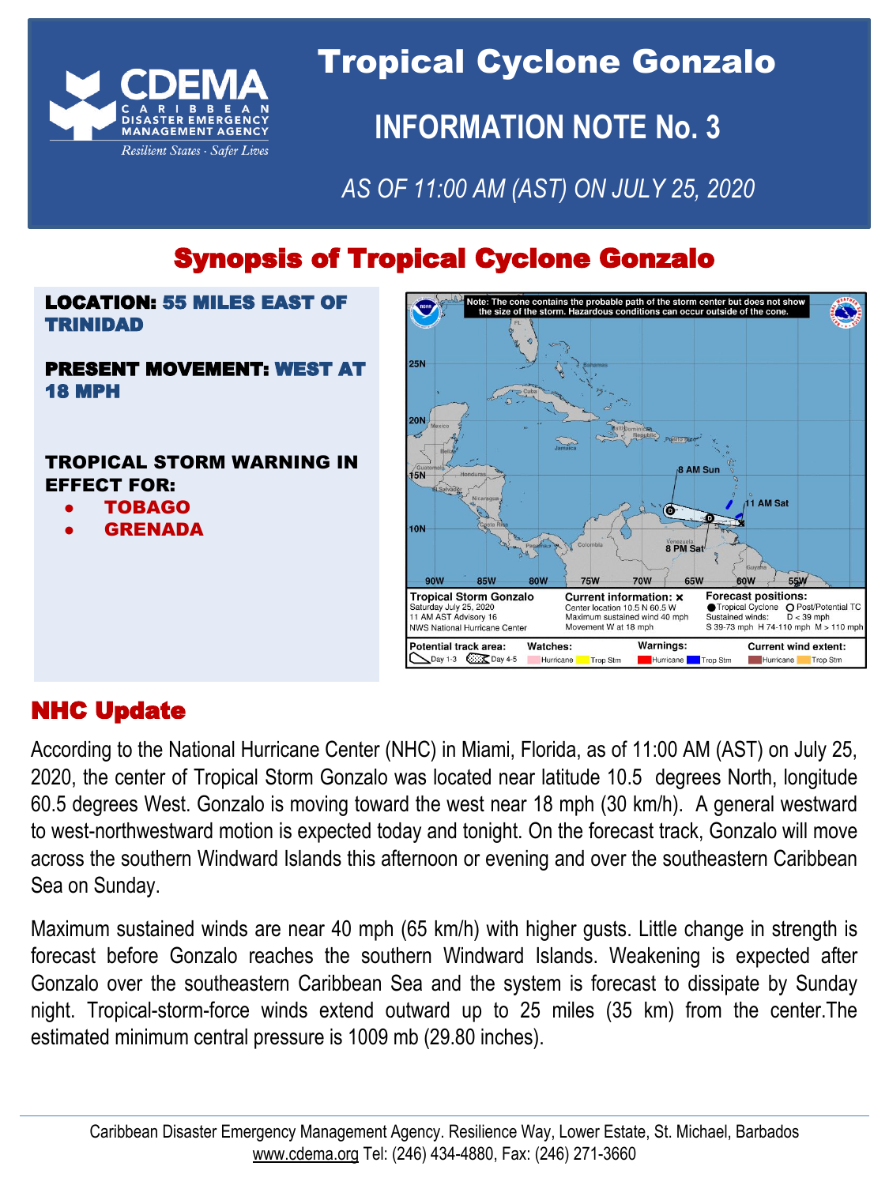

Tropical Cyclone Gonzalo **INFORMATION NOTE No. 3** 

*AS OF 11:00 AM (AST) ON JULY 25, 2020*

# Synopsis of Tropical Cyclone Gonzalo

### LOCATION: 55 MILES EAST OF TRINIDAD

#### PRESENT MOVEMENT: WEST AT 18 MPH

### TROPICAL STORM WARNING IN EFFECT FOR:

- TOBAGO
- **GRENADA**



## NHC Update

According to the National Hurricane Center (NHC) in Miami, Florida, as of 11:00 AM (AST) on July 25, 2020, the center of Tropical Storm Gonzalo was located near latitude 10.5 degrees North, longitude 60.5 degrees West. Gonzalo is moving toward the west near 18 mph (30 km/h). A general westward to west-northwestward motion is expected today and tonight. On the forecast track, Gonzalo will move across the southern Windward Islands this afternoon or evening and over the southeastern Caribbean Sea on Sunday.

Maximum sustained winds are near 40 mph (65 km/h) with higher gusts. Little change in strength is forecast before Gonzalo reaches the southern Windward Islands. Weakening is expected after Gonzalo over the southeastern Caribbean Sea and the system is forecast to dissipate by Sunday night. Tropical-storm-force winds extend outward up to 25 miles (35 km) from the center.The estimated minimum central pressure is 1009 mb (29.80 inches).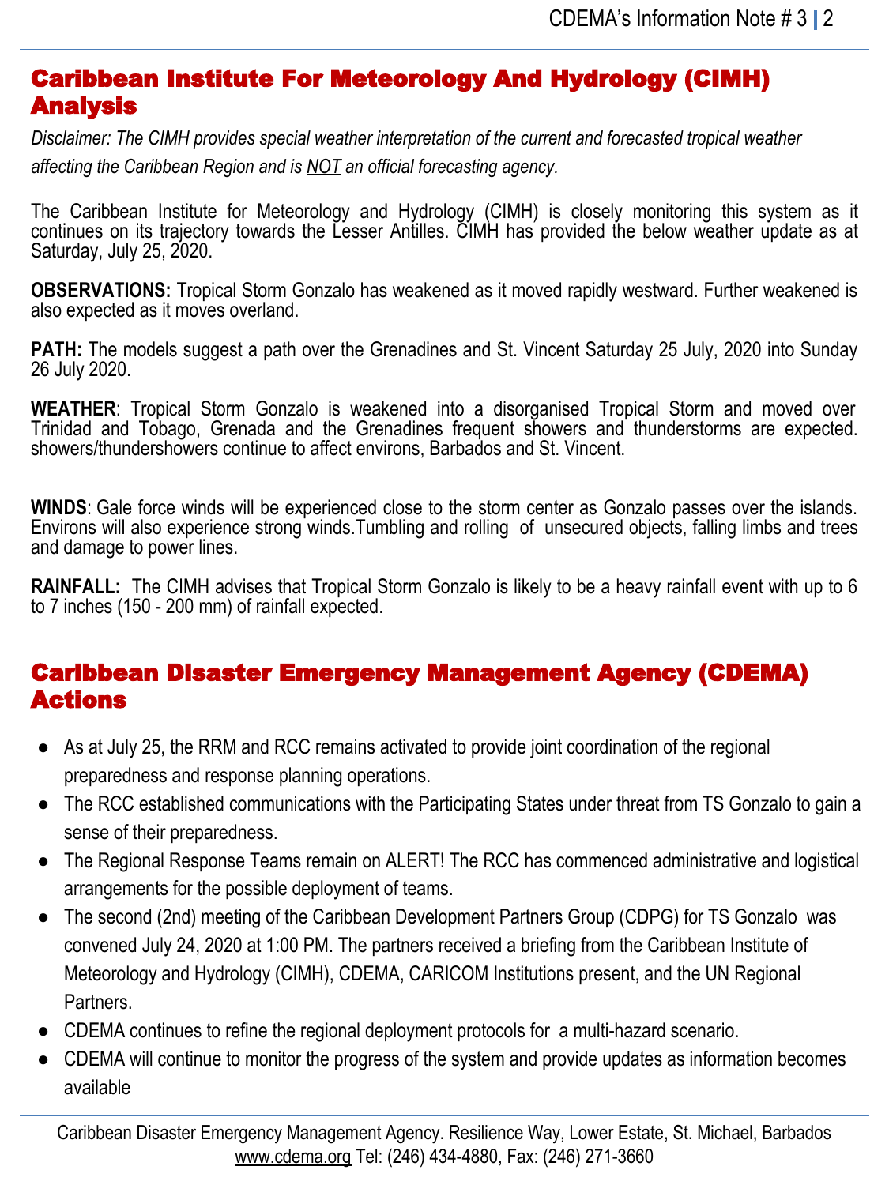### Caribbean Institute For Meteorology And Hydrology (CIMH) Analysis

*Disclaimer: The CIMH provides special weather interpretation of the current and forecasted tropical weather affecting the Caribbean Region and is NOT an official forecasting agency.*

The Caribbean Institute for Meteorology and Hydrology (CIMH) is closely monitoring this system as it continues on its trajectory towards the Lesser Antilles. CIMH has provided the below weather update as at Saturday, July 25, 2020.

**OBSERVATIONS:** Tropical Storm Gonzalo has weakened as it moved rapidly westward. Further weakened is also expected as it moves overland.

**PATH:** The models suggest a path over the Grenadines and St. Vincent Saturday 25 July, 2020 into Sunday 26 July 2020.

**WEATHER**: Tropical Storm Gonzalo is weakened into a disorganised Tropical Storm and moved over Trinidad and Tobago, Grenada and the Grenadines frequent showers and thunderstorms are expected. showers/thundershowers continue to affect environs, Barbados and St. Vincent.

**WINDS**: Gale force winds will be experienced close to the storm center as Gonzalo passes over the islands. Environs will also experience strong winds.Tumbling and rolling of unsecured objects, falling limbs and trees and damage to power lines.

**RAINFALL:** The CIMH advises that Tropical Storm Gonzalo is likely to be a heavy rainfall event with up to 6 to 7 inches (150 - 200 mm) of rainfall expected.

## Caribbean Disaster Emergency Management Agency (CDEMA) Actions

- As at July 25, the RRM and RCC remains activated to provide joint coordination of the regional preparedness and response planning operations.
- The RCC established communications with the Participating States under threat from TS Gonzalo to gain a sense of their preparedness.
- The Regional Response Teams remain on ALERT! The RCC has commenced administrative and logistical arrangements for the possible deployment of teams.
- The second (2nd) meeting of the Caribbean Development Partners Group (CDPG) for TS Gonzalo was convened July 24, 2020 at 1:00 PM. The partners received a briefing from the Caribbean Institute of Meteorology and Hydrology (CIMH), CDEMA, CARICOM Institutions present, and the UN Regional Partners.
- CDEMA continues to refine the regional deployment protocols for a multi-hazard scenario.
- CDEMA will continue to monitor the progress of the system and provide updates as information becomes available

Caribbean Disaster Emergency Management Agency. Resilience Way, Lower Estate, St. Michael, Barbados [www.cdema.org](http://www.cdema.org/) Tel: (246) 434-4880, Fax: (246) 271-3660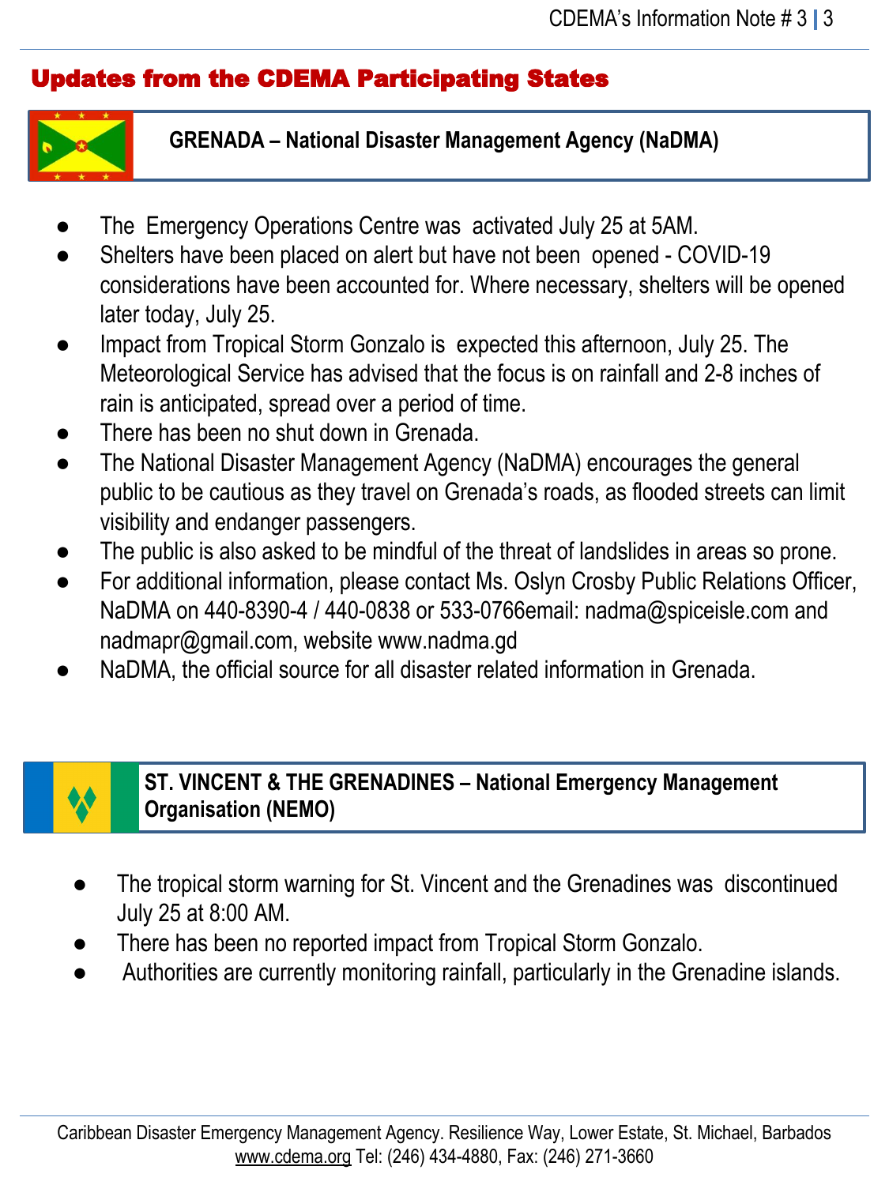## Updates from the CDEMA Participating States



**GRENADA – National Disaster Management Agency (NaDMA)**

- The Emergency Operations Centre was activated July 25 at 5AM.
- Shelters have been placed on alert but have not been opened COVID-19 considerations have been accounted for. Where necessary, shelters will be opened later today, July 25.
- Impact from Tropical Storm Gonzalo is expected this afternoon, July 25. The Meteorological Service has advised that the focus is on rainfall and 2-8 inches of rain is anticipated, spread over a period of time.
- There has been no shut down in Grenada.
- The National Disaster Management Agency (NaDMA) encourages the general public to be cautious as they travel on Grenada's roads, as flooded streets can limit visibility and endanger passengers.
- The public is also asked to be mindful of the threat of landslides in areas so prone.
- For additional information, please contact Ms. Oslyn Crosby Public Relations Officer, NaDMA on 440-8390-4 / 440-0838 or 533-0766email: nadma@spiceisle.com and nadmapr@gmail.com, website www.nadma.gd
- NaDMA, the official source for all disaster related information in Grenada.



## **ST. VINCENT & THE GRENADINES – National Emergency Management Organisation (NEMO)**

- The tropical storm warning for St. Vincent and the Grenadines was discontinued July 25 at 8:00 AM.
- There has been no reported impact from Tropical Storm Gonzalo.
- Authorities are currently monitoring rainfall, particularly in the Grenadine islands.